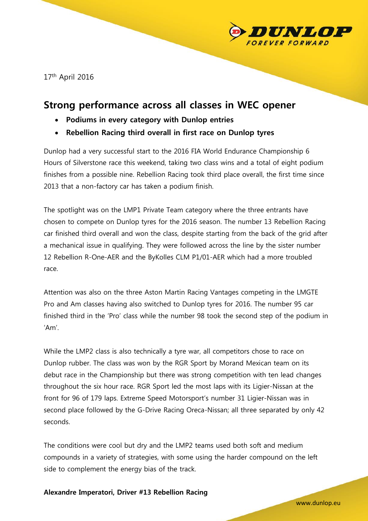

17<sup>th</sup> April 2016

# **Strong performance across all classes in WEC opener**

- **Podiums in every category with Dunlop entries**
- **Rebellion Racing third overall in first race on Dunlop tyres**

Dunlop had a very successful start to the 2016 FIA World Endurance Championship 6 Hours of Silverstone race this weekend, taking two class wins and a total of eight podium finishes from a possible nine. Rebellion Racing took third place overall, the first time since 2013 that a non-factory car has taken a podium finish.

The spotlight was on the LMP1 Private Team category where the three entrants have chosen to compete on Dunlop tyres for the 2016 season. The number 13 Rebellion Racing car finished third overall and won the class, despite starting from the back of the grid after a mechanical issue in qualifying. They were followed across the line by the sister number 12 Rebellion R-One-AER and the ByKolles CLM P1/01-AER which had a more troubled race.

Attention was also on the three Aston Martin Racing Vantages competing in the LMGTE Pro and Am classes having also switched to Dunlop tyres for 2016. The number 95 car finished third in the 'Pro' class while the number 98 took the second step of the podium in 'Am'.

While the LMP2 class is also technically a tyre war, all competitors chose to race on Dunlop rubber. The class was won by the RGR Sport by Morand Mexican team on its debut race in the Championship but there was strong competition with ten lead changes throughout the six hour race. RGR Sport led the most laps with its Ligier-Nissan at the front for 96 of 179 laps. Extreme Speed Motorsport's number 31 Ligier-Nissan was in second place followed by the G-Drive Racing Oreca-Nissan; all three separated by only 42 seconds.

The conditions were cool but dry and the LMP2 teams used both soft and medium compounds in a variety of strategies, with some using the harder compound on the left side to complement the energy bias of the track.

# **Alexandre Imperatori, Driver #13 Rebellion Racing**

www.dunlop.eu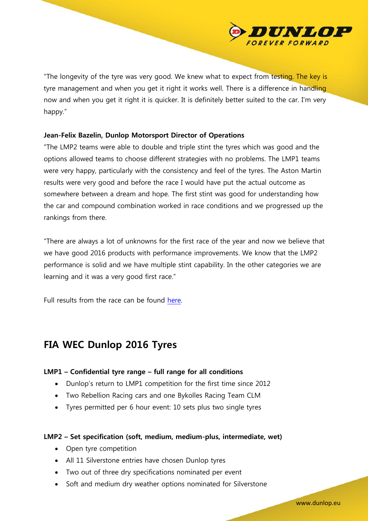"The longevity of the tyre was very good. We knew what to expect from testing. The key is tyre management and when you get it right it works well. There is a difference in handling now and when you get it right it is quicker. It is definitely better suited to the car. I'm very happy."

## **Jean-Felix Bazelin, Dunlop Motorsport Director of Operations**

"The LMP2 teams were able to double and triple stint the tyres which was good and the options allowed teams to choose different strategies with no problems. The LMP1 teams were very happy, particularly with the consistency and feel of the tyres. The Aston Martin results were very good and before the race I would have put the actual outcome as somewhere between a dream and hope. The first stint was good for understanding how the car and compound combination worked in race conditions and we progressed up the rankings from there.

"There are always a lot of unknowns for the first race of the year and now we believe that we have good 2016 products with performance improvements. We know that the LMP2 performance is solid and we have multiple stint capability. In the other categories we are learning and it was a very good first race."

Full results from the race can be found [here.](http://www.fiawec.com/races/6-hours-of-silverstone/results-and-chrono.html)

# **FIA WEC Dunlop 2016 Tyres**

# **LMP1 – Confidential tyre range – full range for all conditions**

- Dunlop's return to LMP1 competition for the first time since 2012
- Two Rebellion Racing cars and one Bykolles Racing Team CLM
- Tyres permitted per 6 hour event: 10 sets plus two single tyres

#### **LMP2 – Set specification (soft, medium, medium-plus, intermediate, wet)**

- Open tyre competition
- All 11 Silverstone entries have chosen Dunlop tyres
- Two out of three dry specifications nominated per event
- Soft and medium dry weather options nominated for Silverstone

www.dunlop.eu